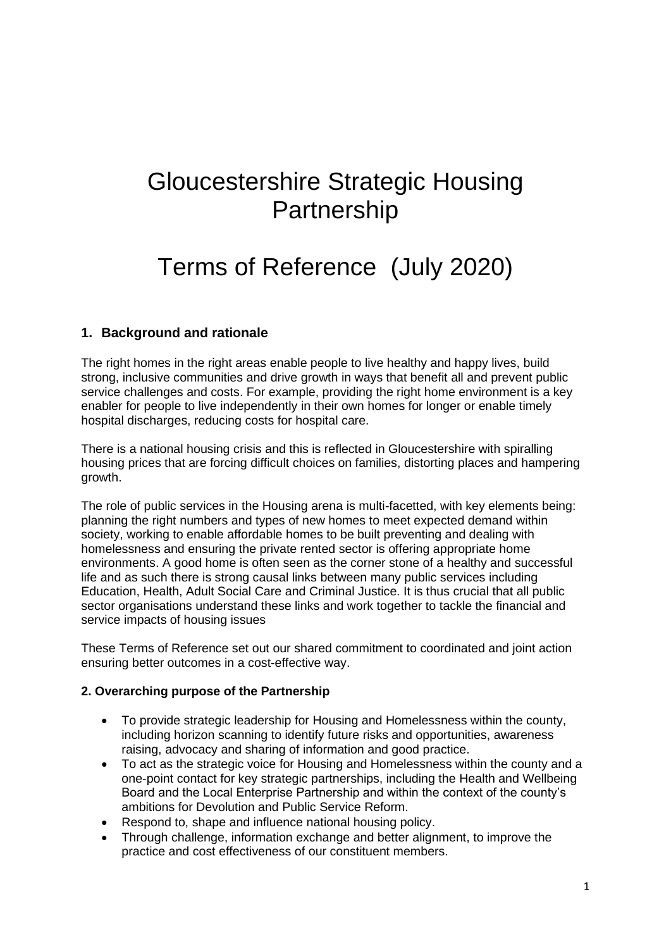# Gloucestershire Strategic Housing Partnership

## Terms of Reference (July 2020)

## **1. Background and rationale**

The right homes in the right areas enable people to live healthy and happy lives, build strong, inclusive communities and drive growth in ways that benefit all and prevent public service challenges and costs. For example, providing the right home environment is a key enabler for people to live independently in their own homes for longer or enable timely hospital discharges, reducing costs for hospital care.

There is a national housing crisis and this is reflected in Gloucestershire with spiralling housing prices that are forcing difficult choices on families, distorting places and hampering growth.

The role of public services in the Housing arena is multi-facetted, with key elements being: planning the right numbers and types of new homes to meet expected demand within society, working to enable affordable homes to be built preventing and dealing with homelessness and ensuring the private rented sector is offering appropriate home environments. A good home is often seen as the corner stone of a healthy and successful life and as such there is strong causal links between many public services including Education, Health, Adult Social Care and Criminal Justice. It is thus crucial that all public sector organisations understand these links and work together to tackle the financial and service impacts of housing issues

These Terms of Reference set out our shared commitment to coordinated and joint action ensuring better outcomes in a cost-effective way.

#### **2. Overarching purpose of the Partnership**

- To provide strategic leadership for Housing and Homelessness within the county, including horizon scanning to identify future risks and opportunities, awareness raising, advocacy and sharing of information and good practice.
- To act as the strategic voice for Housing and Homelessness within the county and a one-point contact for key strategic partnerships, including the Health and Wellbeing Board and the Local Enterprise Partnership and within the context of the county's ambitions for Devolution and Public Service Reform.
- Respond to, shape and influence national housing policy.
- Through challenge, information exchange and better alignment, to improve the practice and cost effectiveness of our constituent members.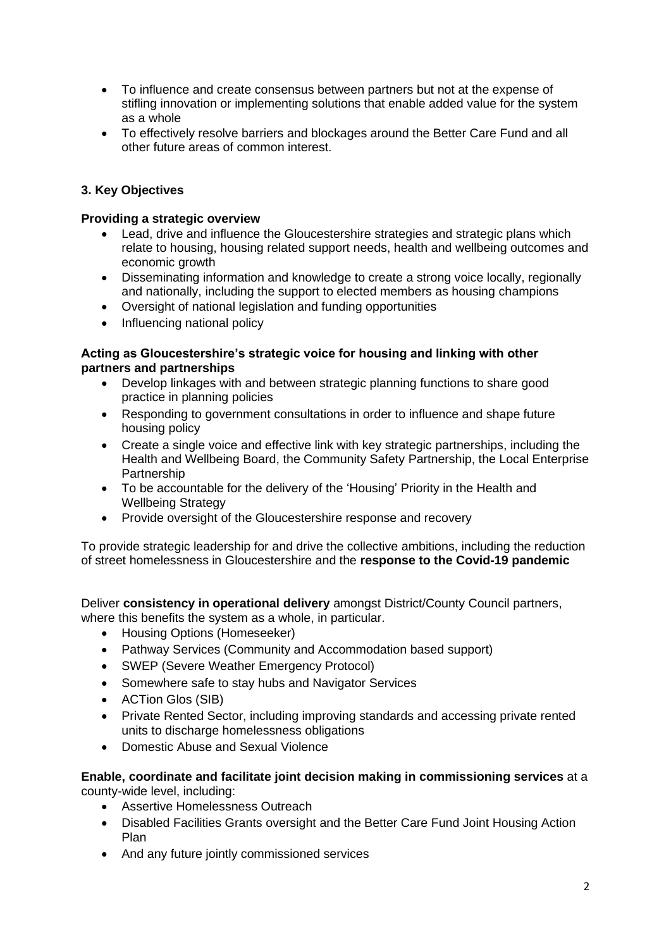- To influence and create consensus between partners but not at the expense of stifling innovation or implementing solutions that enable added value for the system as a whole
- To effectively resolve barriers and blockages around the Better Care Fund and all other future areas of common interest.

## **3. Key Objectives**

#### **Providing a strategic overview**

- Lead, drive and influence the Gloucestershire strategies and strategic plans which relate to housing, housing related support needs, health and wellbeing outcomes and economic growth
- Disseminating information and knowledge to create a strong voice locally, regionally and nationally, including the support to elected members as housing champions
- Oversight of national legislation and funding opportunities
- Influencing national policy

#### **Acting as Gloucestershire's strategic voice for housing and linking with other partners and partnerships**

- Develop linkages with and between strategic planning functions to share good practice in planning policies
- Responding to government consultations in order to influence and shape future housing policy
- Create a single voice and effective link with key strategic partnerships, including the Health and Wellbeing Board, the Community Safety Partnership, the Local Enterprise Partnership
- To be accountable for the delivery of the 'Housing' Priority in the Health and Wellbeing Strategy
- Provide oversight of the Gloucestershire response and recovery

To provide strategic leadership for and drive the collective ambitions, including the reduction of street homelessness in Gloucestershire and the **response to the Covid-19 pandemic**

Deliver **consistency in operational delivery** amongst District/County Council partners, where this benefits the system as a whole, in particular.

- Housing Options (Homeseeker)
- Pathway Services (Community and Accommodation based support)
- SWEP (Severe Weather Emergency Protocol)
- Somewhere safe to stay hubs and Navigator Services
- ACTion Glos (SIB)
- Private Rented Sector, including improving standards and accessing private rented units to discharge homelessness obligations
- Domestic Abuse and Sexual Violence

#### **Enable, coordinate and facilitate joint decision making in commissioning services** at a county-wide level, including:

- Assertive Homelessness Outreach
- Disabled Facilities Grants oversight and the Better Care Fund Joint Housing Action Plan
- And any future jointly commissioned services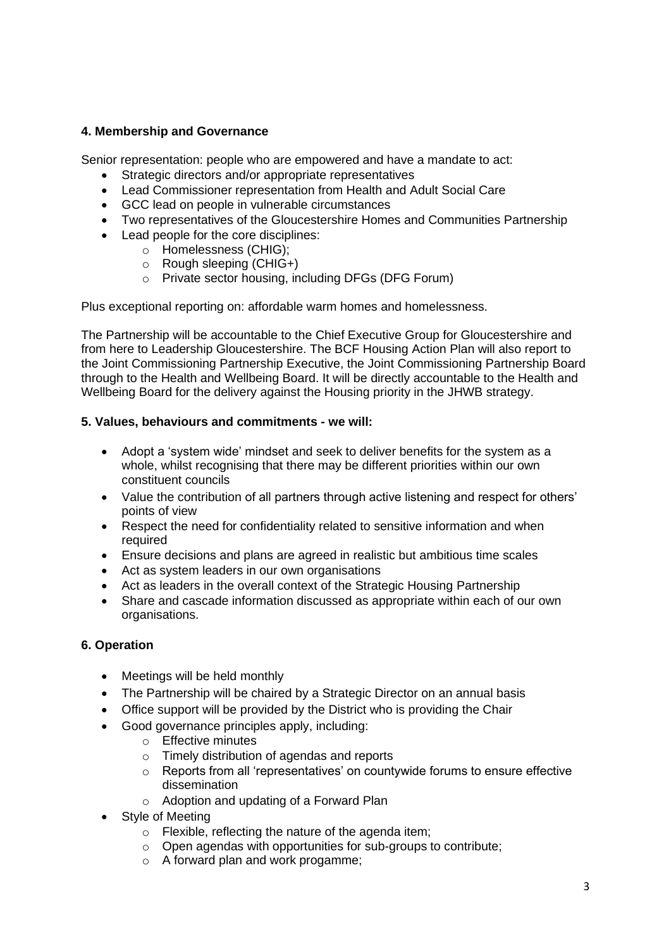#### **4. Membership and Governance**

Senior representation: people who are empowered and have a mandate to act:

- Strategic directors and/or appropriate representatives
- Lead Commissioner representation from Health and Adult Social Care
- GCC lead on people in vulnerable circumstances
- Two representatives of the Gloucestershire Homes and Communities Partnership
- Lead people for the core disciplines:
	- o Homelessness (CHIG);
	- o Rough sleeping (CHIG+)
	- o Private sector housing, including DFGs (DFG Forum)

Plus exceptional reporting on: affordable warm homes and homelessness.

The Partnership will be accountable to the Chief Executive Group for Gloucestershire and from here to Leadership Gloucestershire. The BCF Housing Action Plan will also report to the Joint Commissioning Partnership Executive, the Joint Commissioning Partnership Board through to the Health and Wellbeing Board. It will be directly accountable to the Health and Wellbeing Board for the delivery against the Housing priority in the JHWB strategy.

#### **5. Values, behaviours and commitments - we will:**

- Adopt a 'system wide' mindset and seek to deliver benefits for the system as a whole, whilst recognising that there may be different priorities within our own constituent councils
- Value the contribution of all partners through active listening and respect for others' points of view
- Respect the need for confidentiality related to sensitive information and when required
- Ensure decisions and plans are agreed in realistic but ambitious time scales
- Act as system leaders in our own organisations
- Act as leaders in the overall context of the Strategic Housing Partnership
- Share and cascade information discussed as appropriate within each of our own organisations.

#### **6. Operation**

- Meetings will be held monthly
- The Partnership will be chaired by a Strategic Director on an annual basis
- Office support will be provided by the District who is providing the Chair
- Good governance principles apply, including:
	- o Effective minutes
	- o Timely distribution of agendas and reports
	- o Reports from all 'representatives' on countywide forums to ensure effective dissemination
	- o Adoption and updating of a Forward Plan
- Style of Meeting
	- o Flexible, reflecting the nature of the agenda item;
	- o Open agendas with opportunities for sub-groups to contribute;
	- o A forward plan and work progamme;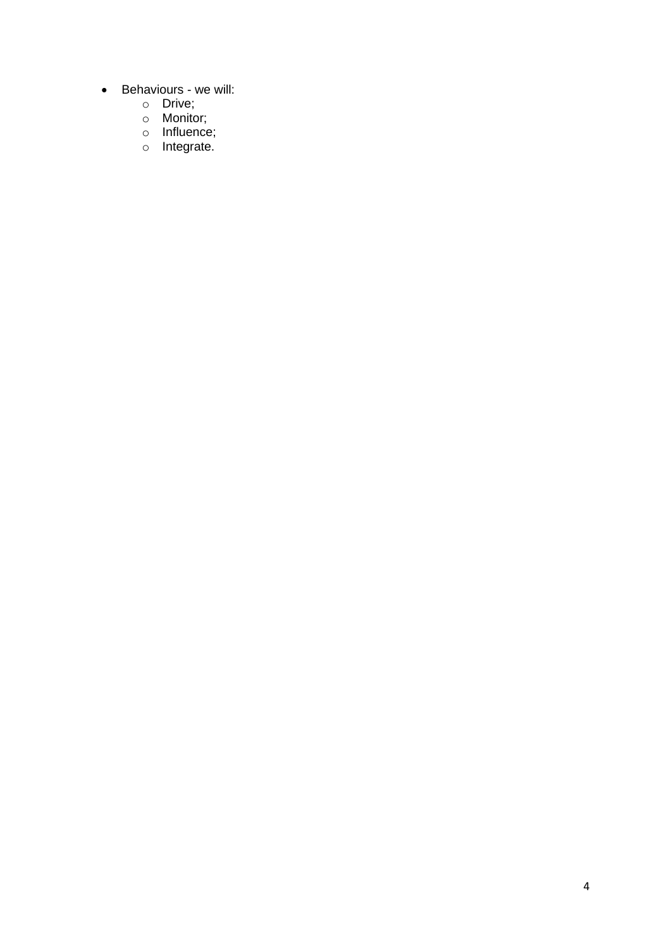- Behaviours we will:
	- o Drive;
	- o Monitor;
	- o Influence;
	- o Integrate.